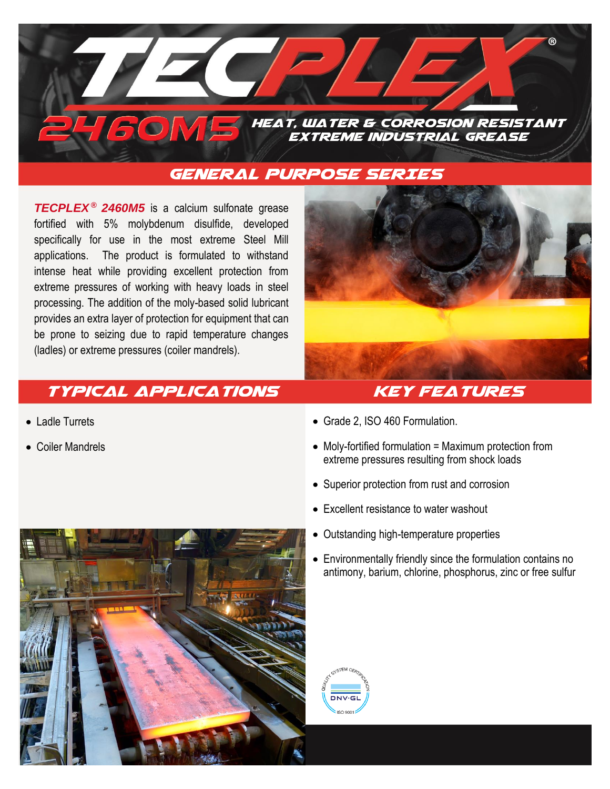

## **general purpose SERIES**

**TECPLEX<sup>®</sup> 2460M5** is a calcium sulfonate grease fortified with 5% molybdenum disulfide, developed specifically for use in the most extreme Steel Mill applications. The product is formulated to withstand intense heat while providing excellent protection from extreme pressures of working with heavy loads in steel processing. The addition of the moly-based solid lubricant provides an extra layer of protection for equipment that can be prone to seizing due to rapid temperature changes (ladles) or extreme pressures (coiler mandrels).



## **Typical Applications Key Features**

- Ladle Turrets
- Coiler Mandrels
- Grade 2, ISO 460 Formulation.
- Moly-fortified formulation = Maximum protection from extreme pressures resulting from shock loads
- Superior protection from rust and corrosion
- Excellent resistance to water washout
- Outstanding high-temperature properties
- Environmentally friendly since the formulation contains no antimony, barium, chlorine, phosphorus, zinc or free sulfur